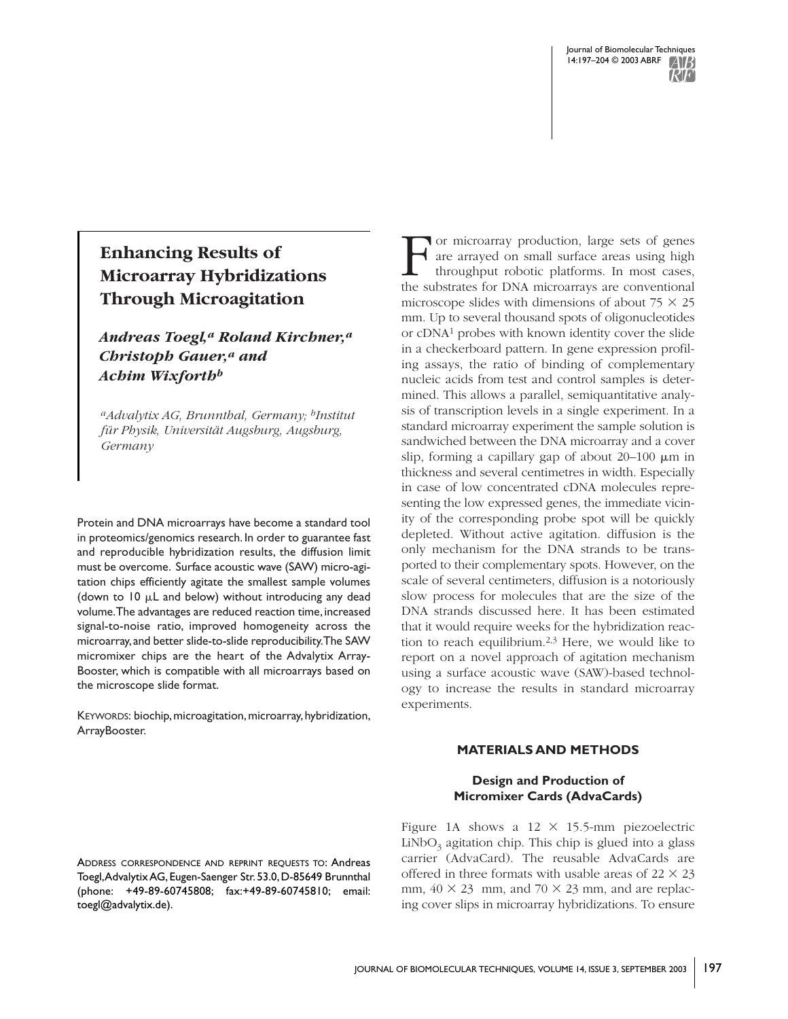# **Enhancing Results of Microarray Hybridizations Through Microagitation**

*Andreas Toegl,<sup>a</sup> Roland Kirchner,<sup>a</sup> Christoph Gauer,<sup>a</sup> and Achim Wixforth<sup>b</sup>*

*<sup>a</sup>Advalytix AG, Brunnthal, Germany; <sup>b</sup>Institut für Physik, Universität Augsburg, Augsburg, Germany*

Protein and DNA microarrays have become a standard tool in proteomics/genomics research. In order to guarantee fast and reproducible hybridization results, the diffusion limit must be overcome. Surface acoustic wave (SAW) micro-agitation chips efficiently agitate the smallest sample volumes (down to  $10 \mu L$  and below) without introducing any dead volume. The advantages are reduced reaction time, increased signal-to-noise ratio, improved homogeneity across the microarray,and better slide-to-slide reproducibility.The SAW micromixer chips are the heart of the Advalytix Array-Booster, which is compatible with all microarrays based on the microscope slide format.

KEYWORDS: biochip, microagitation, microarray, hybridization, ArrayBooster.

T or microarray production, large sets of genes<br>are arrayed on small surface areas using high<br>throughput robotic platforms. In most cases,<br>the substrates for DNA microarrays are conventional or microarray production, large sets of genes are arrayed on small surface areas using high throughput robotic platforms. In most cases, microscope slides with dimensions of about  $75 \times 25$ mm. Up to several thousand spots of oligonucleotides or cDNA<sup>1</sup> probes with known identity cover the slide in a checkerboard pattern. In gene expression profiling assays, the ratio of binding of complementary nucleic acids from test and control samples is determined. This allows a parallel, semiquantitative analysis of transcription levels in a single experiment. In a standard microarray experiment the sample solution is sandwiched between the DNA microarray and a cover slip, forming a capillary gap of about  $20-100 \mu m$  in thickness and several centimetres in width. Especially in case of low concentrated cDNA molecules representing the low expressed genes, the immediate vicinity of the corresponding probe spot will be quickly depleted. Without active agitation. diffusion is the only mechanism for the DNA strands to be transported to their complementary spots. However, on the scale of several centimeters, diffusion is a notoriously slow process for molecules that are the size of the DNA strands discussed here. It has been estimated that it would require weeks for the hybridization reaction to reach equilibrium.2,3 Here, we would like to report on a novel approach of agitation mechanism using a surface acoustic wave (SAW)-based technology to increase the results in standard microarray experiments.

### **MATERIALS AND METHODS**

### **Design and Production of Micromixer Cards (AdvaCards)**

Figure 1A shows a  $12 \times 15.5$ -mm piezoelectric LiNbO $_3$  agitation chip. This chip is glued into a glass carrier (AdvaCard). The reusable AdvaCards are offered in three formats with usable areas of  $22 \times 23$ mm,  $40 \times 23$  mm, and  $70 \times 23$  mm, and are replacing cover slips in microarray hybridizations. To ensure

ADDRESS CORRESPONDENCE AND REPRINT REQUESTS TO: Andreas Toegl, Advalytix AG, Eugen-Saenger Str. 53.0, D-85649 Brunnthal (phone: +49-89-60745808; fax:+49-89-60745810; email: toegl@advalytix.de).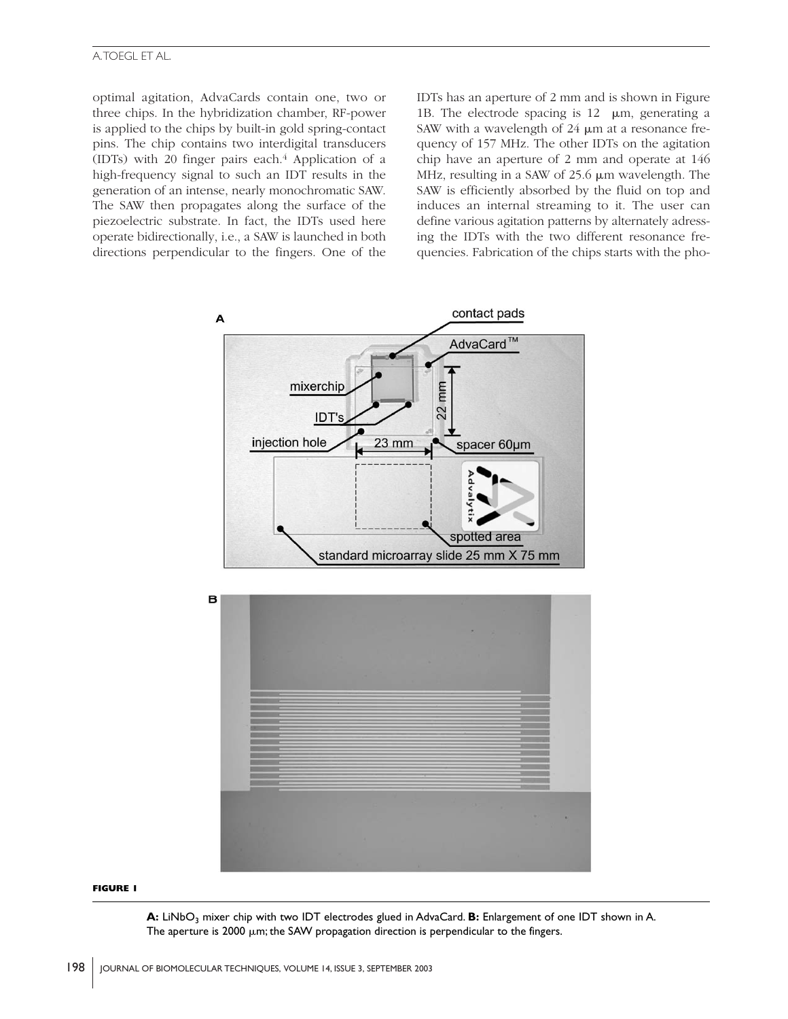## A.TOEGL ET AL.

optimal agitation, AdvaCards contain one, two or three chips. In the hybridization chamber, RF-power is applied to the chips by built-in gold spring-contact pins. The chip contains two interdigital transducers (IDTs) with 20 finger pairs each. $4$  Application of a high-frequency signal to such an IDT results in the generation of an intense, nearly monochromatic SAW. The SAW then propagates along the surface of the piezoelectric substrate. In fact, the IDTs used here operate bidirectionally, i.e., a SAW is launched in both directions perpendicular to the fingers. One of the

IDTs has an aperture of 2 mm and is shown in Figure 1B. The electrode spacing is  $12 \mu m$ , generating a SAW with a wavelength of  $24 \mu m$  at a resonance frequency of 157 MHz. The other IDTs on the agitation chip have an aperture of 2 mm and operate at 146 MHz, resulting in a SAW of  $25.6 \mu m$  wavelength. The SAW is efficiently absorbed by the fluid on top and induces an internal streaming to it. The user can define various agitation patterns by alternately adressing the IDTs with the two different resonance frequencies. Fabrication of the chips starts with the pho-



#### **FIGURE 1**

A: LiNbO<sub>2</sub> mixer chip with two IDT electrodes glued in AdvaCard. **B:** Enlargement of one IDT shown in A. The aperture is 2000  $\mu$ m; the SAW propagation direction is perpendicular to the fingers.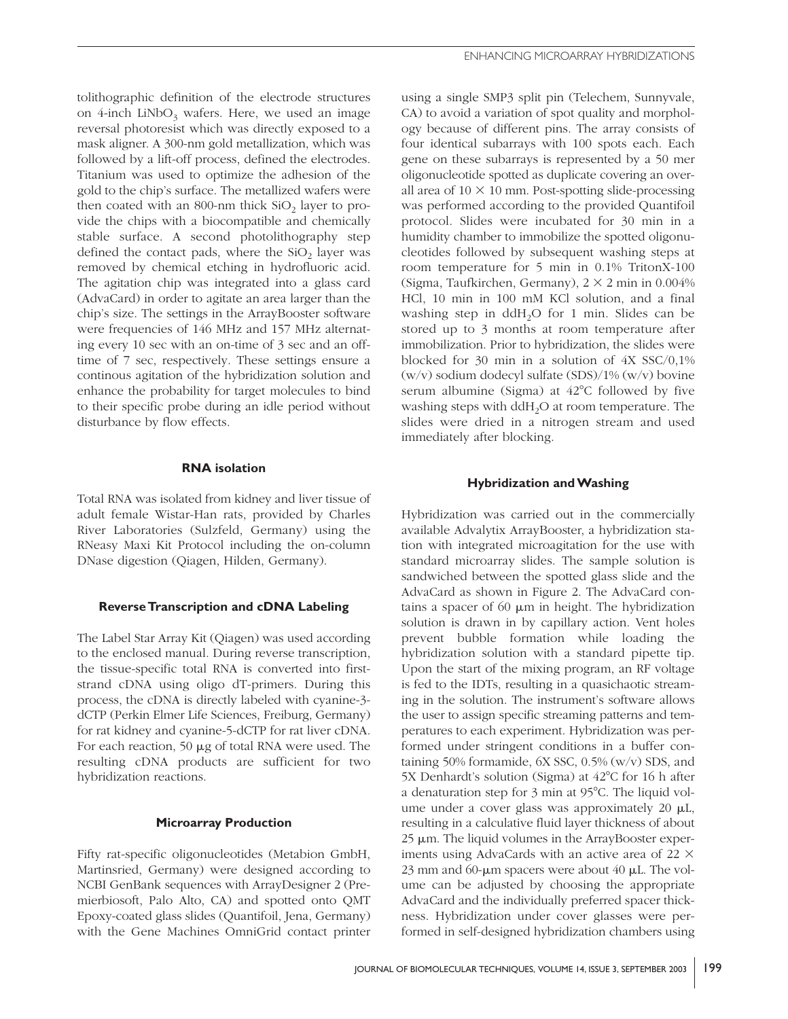tolithographic definition of the electrode structures on 4-inch LiNbO<sub>3</sub> wafers. Here, we used an image reversal photoresist which was directly exposed to a mask aligner. A 300-nm gold metallization, which was followed by a lift-off process, defined the electrodes. Titanium was used to optimize the adhesion of the gold to the chip's surface. The metallized wafers were then coated with an 800-nm thick  $SiO_2$  layer to provide the chips with a biocompatible and chemically stable surface. A second photolithography step defined the contact pads, where the  $SiO<sub>2</sub>$  layer was removed by chemical etching in hydrofluoric acid. The agitation chip was integrated into a glass card (AdvaCard) in order to agitate an area larger than the chip's size. The settings in the ArrayBooster software were frequencies of 146 MHz and 157 MHz alternating every 10 sec with an on-time of 3 sec and an offtime of 7 sec, respectively. These settings ensure a continous agitation of the hybridization solution and enhance the probability for target molecules to bind to their specific probe during an idle period without disturbance by flow effects.

# **RNA isolation**

Total RNA was isolated from kidney and liver tissue of adult female Wistar-Han rats, provided by Charles River Laboratories (Sulzfeld, Germany) using the RNeasy Maxi Kit Protocol including the on-column DNase digestion (Qiagen, Hilden, Germany).

# **Reverse Transcription and cDNA Labeling**

The Label Star Array Kit (Qiagen) was used according to the enclosed manual. During reverse transcription, the tissue-specific total RNA is converted into firststrand cDNA using oligo dT-primers. During this process, the cDNA is directly labeled with cyanine-3 dCTP (Perkin Elmer Life Sciences, Freiburg, Germany) for rat kidney and cyanine-5-dCTP for rat liver cDNA. For each reaction, 50  $\mu$ g of total RNA were used. The resulting cDNA products are sufficient for two hybridization reactions.

# **Microarray Production**

Fifty rat-specific oligonucleotides (Metabion GmbH, Martinsried, Germany) were designed according to NCBI GenBank sequences with ArrayDesigner 2 (Premierbiosoft, Palo Alto, CA) and spotted onto QMT Epoxy-coated glass slides (Quantifoil, Jena, Germany) with the Gene Machines OmniGrid contact printer

using a single SMP3 split pin (Telechem, Sunnyvale, CA) to avoid a variation of spot quality and morphology because of different pins. The array consists of four identical subarrays with 100 spots each. Each gene on these subarrays is represented by a 50 mer oligonucleotide spotted as duplicate covering an overall area of  $10 \times 10$  mm. Post-spotting slide-processing was performed according to the provided Quantifoil protocol. Slides were incubated for 30 min in a humidity chamber to immobilize the spotted oligonucleotides followed by subsequent washing steps at room temperature for 5 min in 0.1% TritonX-100 (Sigma, Taufkirchen, Germany),  $2 \times 2$  min in 0.004% HCl, 10 min in 100 mM KCl solution, and a final washing step in ddH<sub>2</sub>O for 1 min. Slides can be stored up to 3 months at room temperature after immobilization. Prior to hybridization, the slides were blocked for 30 min in a solution of 4X SSC/0,1% (w/v) sodium dodecyl sulfate (SDS)/1% (w/v) bovine serum albumine (Sigma) at  $42^{\circ}$ C followed by five washing steps with  $ddH<sub>2</sub>O$  at room temperature. The slides were dried in a nitrogen stream and used immediately after blocking.

# **Hybridization and Washing**

Hybridization was carried out in the commercially available Advalytix ArrayBooster, a hybridization station with integrated microagitation for the use with standard microarray slides. The sample solution is sandwiched between the spotted glass slide and the AdvaCard as shown in Figure 2. The AdvaCard contains a spacer of 60  $\mu$ m in height. The hybridization solution is drawn in by capillary action. Vent holes prevent bubble formation while loading the hybridization solution with a standard pipette tip. Upon the start of the mixing program, an RF voltage is fed to the IDTs, resulting in a quasichaotic streaming in the solution. The instrument's software allows the user to assign specific streaming patterns and temperatures to each experiment. Hybridization was performed under stringent conditions in a buffer containing 50% formamide,  $6X$  SSC,  $0.5\%$  (w/v) SDS, and 5X Denhardt's solution (Sigma) at  $42^{\circ}$ C for 16 h after a denaturation step for 3 min at 95°C. The liquid volume under a cover glass was approximately 20  $\mu$ L, resulting in a calculative fluid layer thickness of about  $25 \mu m$ . The liquid volumes in the ArrayBooster experiments using AdvaCards with an active area of 22  $\times$ 23 mm and 60- $\mu$ m spacers were about 40  $\mu$ L. The volume can be adjusted by choosing the appropriate AdvaCard and the individually preferred spacer thickness. Hybridization under cover glasses were performed in self-designed hybridization chambers using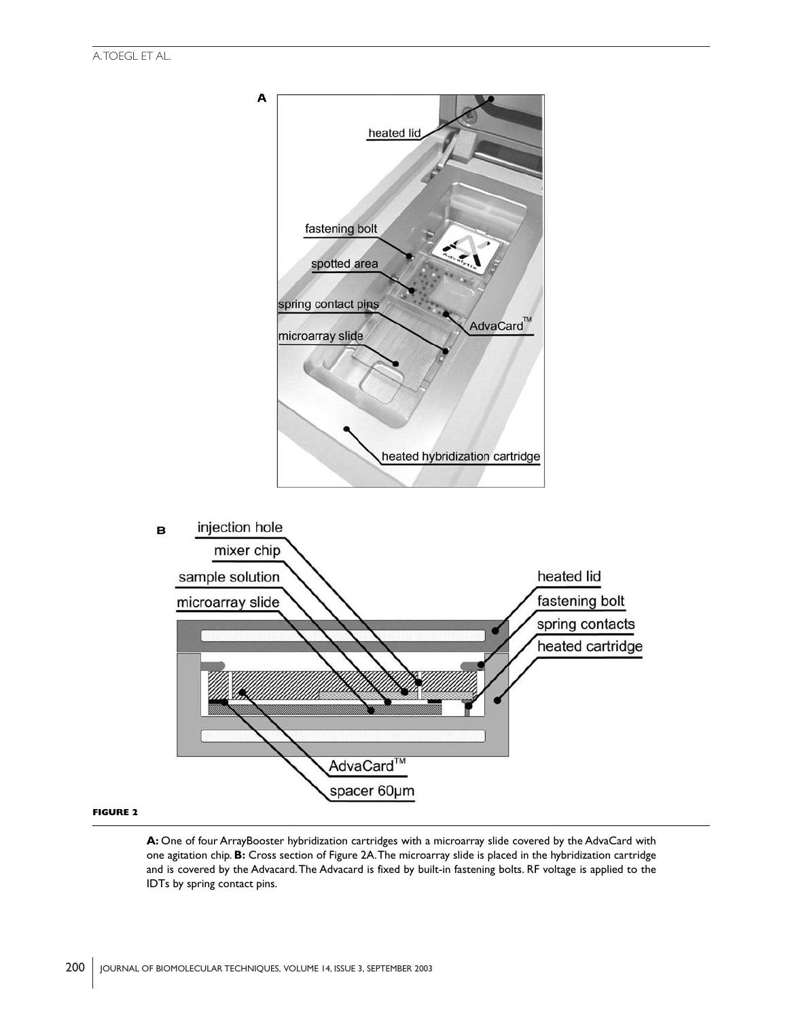

#### **FIGURE 2**

**A:** One of four ArrayBooster hybridization cartridges with a microarray slide covered by the AdvaCard with one agitation chip. **B:** Cross section of Figure 2A.The microarray slide is placed in the hybridization cartridge and is covered by the Advacard.The Advacard is fixed by built-in fastening bolts. RF voltage is applied to the IDTs by spring contact pins.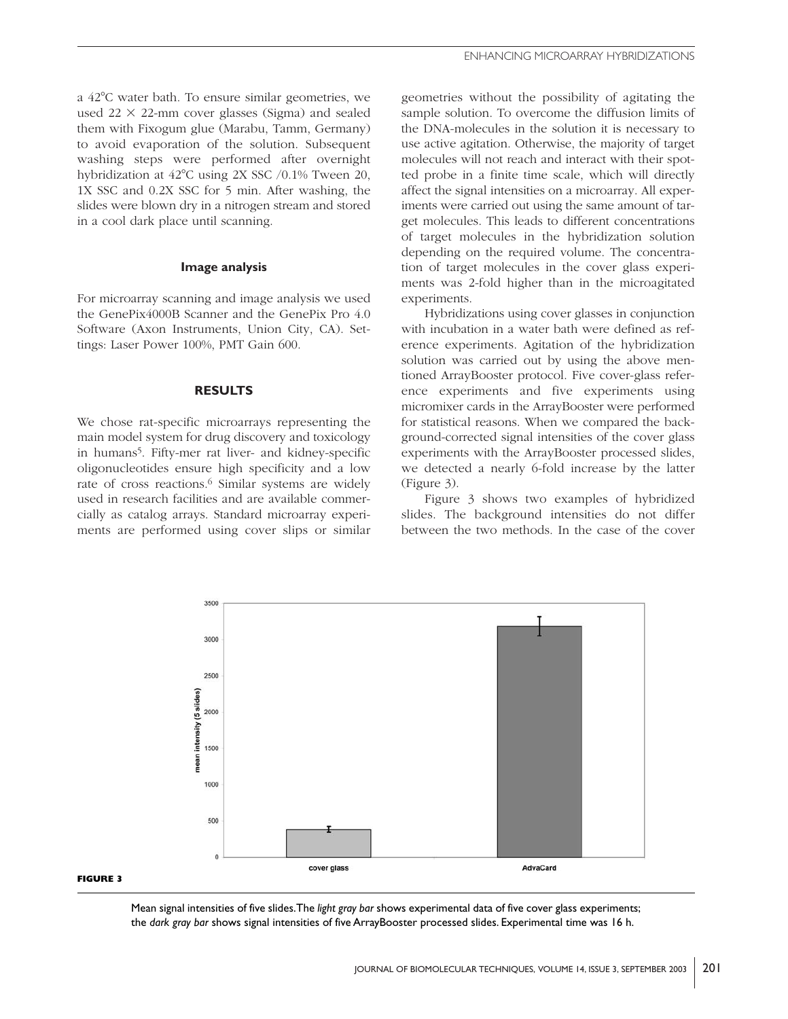a 42C water bath. To ensure similar geometries, we used  $22 \times 22$ -mm cover glasses (Sigma) and sealed them with Fixogum glue (Marabu, Tamm, Germany) to avoid evaporation of the solution. Subsequent washing steps were performed after overnight hybridization at 42°C using 2X SSC /0.1% Tween 20, 1X SSC and 0.2X SSC for 5 min. After washing, the slides were blown dry in a nitrogen stream and stored in a cool dark place until scanning.

### **Image analysis**

For microarray scanning and image analysis we used the GenePix4000B Scanner and the GenePix Pro 4.0 Software (Axon Instruments, Union City, CA). Settings: Laser Power 100%, PMT Gain 600.

### **RESULTS**

We chose rat-specific microarrays representing the main model system for drug discovery and toxicology in humans<sup>5</sup>. Fifty-mer rat liver- and kidney-specific oligonucleotides ensure high specificity and a low rate of cross reactions.<sup>6</sup> Similar systems are widely used in research facilities and are available commercially as catalog arrays. Standard microarray experiments are performed using cover slips or similar

geometries without the possibility of agitating the sample solution. To overcome the diffusion limits of the DNA-molecules in the solution it is necessary to use active agitation. Otherwise, the majority of target molecules will not reach and interact with their spotted probe in a finite time scale, which will directly affect the signal intensities on a microarray. All experiments were carried out using the same amount of target molecules. This leads to different concentrations of target molecules in the hybridization solution depending on the required volume. The concentration of target molecules in the cover glass experiments was 2-fold higher than in the microagitated experiments.

Hybridizations using cover glasses in conjunction with incubation in a water bath were defined as reference experiments. Agitation of the hybridization solution was carried out by using the above mentioned ArrayBooster protocol. Five cover-glass reference experiments and five experiments using micromixer cards in the ArrayBooster were performed for statistical reasons. When we compared the background-corrected signal intensities of the cover glass experiments with the ArrayBooster processed slides, we detected a nearly 6-fold increase by the latter (Figure 3).

Figure 3 shows two examples of hybridized slides. The background intensities do not differ between the two methods. In the case of the cover



#### **FIGURE 3**

Mean signal intensities of five slides.The *light gray bar* shows experimental data of five cover glass experiments; the *dark gray bar* shows signal intensities of five ArrayBooster processed slides. Experimental time was 16 h.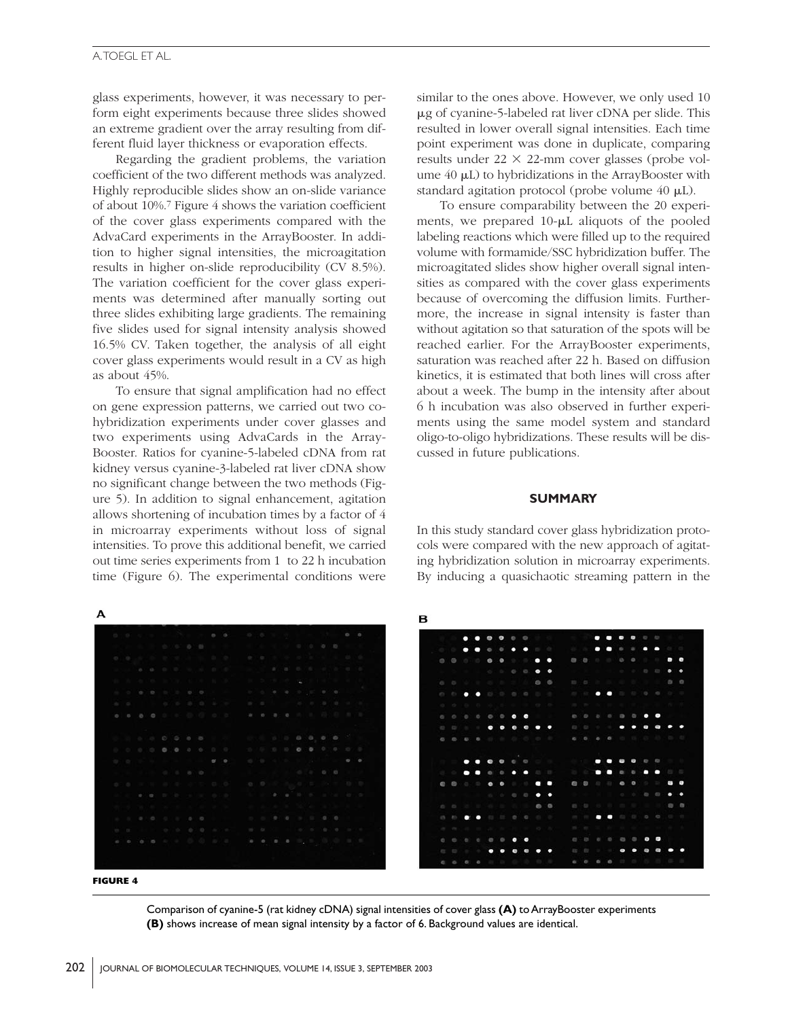### A.TOEGL ET AL.

glass experiments, however, it was necessary to perform eight experiments because three slides showed an extreme gradient over the array resulting from different fluid layer thickness or evaporation effects.

Regarding the gradient problems, the variation coefficient of the two different methods was analyzed. Highly reproducible slides show an on-slide variance of about 10%.<sup>7</sup> Figure 4 shows the variation coefficient of the cover glass experiments compared with the AdvaCard experiments in the ArrayBooster. In addition to higher signal intensities, the microagitation results in higher on-slide reproducibility (CV 8.5%). The variation coefficient for the cover glass experiments was determined after manually sorting out three slides exhibiting large gradients. The remaining five slides used for signal intensity analysis showed 16.5% CV. Taken together, the analysis of all eight cover glass experiments would result in a CV as high as about 45%.

To ensure that signal amplification had no effect on gene expression patterns, we carried out two cohybridization experiments under cover glasses and two experiments using AdvaCards in the Array-Booster. Ratios for cyanine-5-labeled cDNA from rat kidney versus cyanine-3-labeled rat liver cDNA show no significant change between the two methods (Figure 5). In addition to signal enhancement, agitation allows shortening of incubation times by a factor of 4 in microarray experiments without loss of signal intensities. To prove this additional benefit, we carried out time series experiments from 1 to 22 h incubation time (Figure 6). The experimental conditions were

similar to the ones above. However, we only used 10 g of cyanine-5-labeled rat liver cDNA per slide. This resulted in lower overall signal intensities. Each time point experiment was done in duplicate, comparing results under  $22 \times 22$ -mm cover glasses (probe volume  $40 \mu L$ ) to hybridizations in the ArrayBooster with standard agitation protocol (probe volume  $40 \mu L$ ).

To ensure comparability between the 20 experiments, we prepared  $10$ - $\mu$ L aliquots of the pooled labeling reactions which were filled up to the required volume with formamide/SSC hybridization buffer. The microagitated slides show higher overall signal intensities as compared with the cover glass experiments because of overcoming the diffusion limits. Furthermore, the increase in signal intensity is faster than without agitation so that saturation of the spots will be reached earlier. For the ArrayBooster experiments, saturation was reached after 22 h. Based on diffusion kinetics, it is estimated that both lines will cross after about a week. The bump in the intensity after about 6 h incubation was also observed in further experiments using the same model system and standard oligo-to-oligo hybridizations. These results will be discussed in future publications.

### **SUMMARY**

In this study standard cover glass hybridization protocols were compared with the new approach of agitating hybridization solution in microarray experiments. By inducing a quasichaotic streaming pattern in the



Comparison of cyanine-5 (rat kidney cDNA) signal intensities of cover glass **(A)** to ArrayBooster experiments **(B)** shows increase of mean signal intensity by a factor of 6. Background values are identical.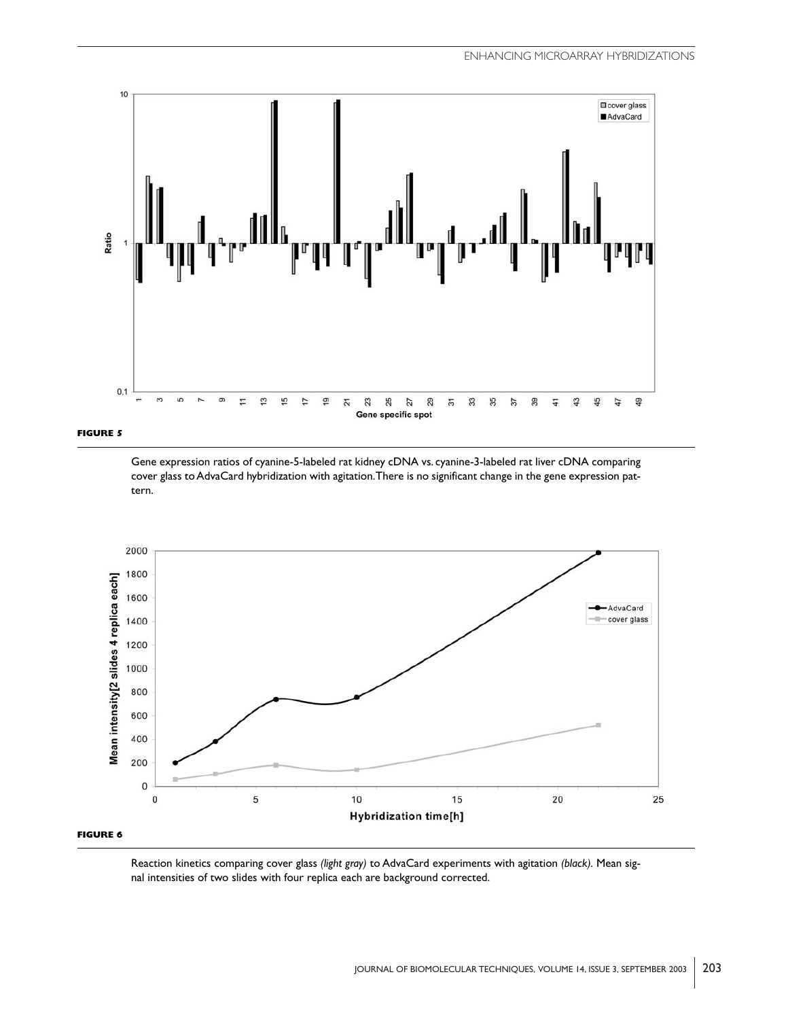



Gene expression ratios of cyanine-5-labeled rat kidney cDNA vs. cyanine-3-labeled rat liver cDNA comparing cover glass to AdvaCard hybridization with agitation.There is no significant change in the gene expression pattern.



Reaction kinetics comparing cover glass *(light gray)* to AdvaCard experiments with agitation *(black).* Mean signal intensities of two slides with four replica each are background corrected.